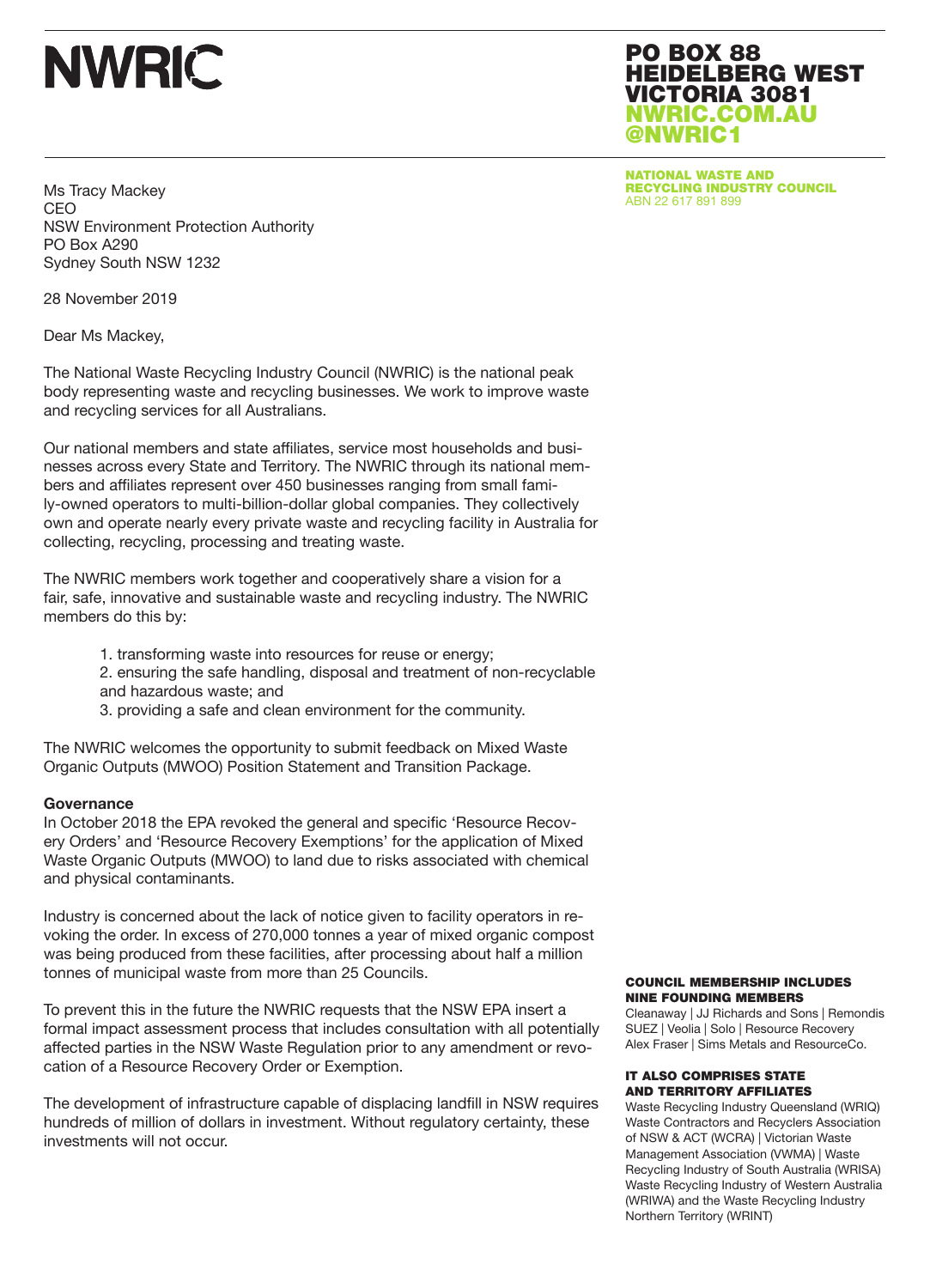

PO BOX 88 HEIDELBERG WEST VICTORIA 3081 NWRIC.COM.AU @NWRIC1

NATIONAL WASTE AND **RECYCLING INDUSTRY COUNCIL**<br>ABN 22 617 891 899

Ms Tracy Mackey CEO NSW Environment Protection Authority PO Box A290 Sydney South NSW 1232

28 November 2019

Dear Ms Mackey,

The National Waste Recycling Industry Council (NWRIC) is the national peak body representing waste and recycling businesses. We work to improve waste and recycling services for all Australians.

Our national members and state affiliates, service most households and businesses across every State and Territory. The NWRIC through its national members and affiliates represent over 450 businesses ranging from small family-owned operators to multi-billion-dollar global companies. They collectively own and operate nearly every private waste and recycling facility in Australia for collecting, recycling, processing and treating waste.

The NWRIC members work together and cooperatively share a vision for a fair, safe, innovative and sustainable waste and recycling industry. The NWRIC members do this by:

- 1. transforming waste into resources for reuse or energy;
- 2. ensuring the safe handling, disposal and treatment of non-recyclable and hazardous waste; and
- 3. providing a safe and clean environment for the community.

The NWRIC welcomes the opportunity to submit feedback on Mixed Waste Organic Outputs (MWOO) Position Statement and Transition Package.

## **Governance**

In October 2018 the EPA revoked the general and specific 'Resource Recovery Orders' and 'Resource Recovery Exemptions' for the application of Mixed Waste Organic Outputs (MWOO) to land due to risks associated with chemical and physical contaminants.

Industry is concerned about the lack of notice given to facility operators in revoking the order. In excess of 270,000 tonnes a year of mixed organic compost was being produced from these facilities, after processing about half a million tonnes of municipal waste from more than 25 Councils.

To prevent this in the future the NWRIC requests that the NSW EPA insert a formal impact assessment process that includes consultation with all potentially affected parties in the NSW Waste Regulation prior to any amendment or revocation of a Resource Recovery Order or Exemption.

The development of infrastructure capable of displacing landfill in NSW requires hundreds of million of dollars in investment. Without regulatory certainty, these investments will not occur.

### COUNCIL MEMBERSHIP INCLUDES NINE FOUNDING MEMBERS

Cleanaway | JJ Richards and Sons | Remondis SUEZ | Veolia | Solo | Resource Recovery Alex Fraser | Sims Metals and ResourceCo.

## IT ALSO COMPRISES STATE AND TERRITORY AFFILIATES

Waste Recycling Industry Queensland (WRIQ) Waste Contractors and Recyclers Association of NSW & ACT (WCRA) | Victorian Waste Management Association (VWMA) | Waste Recycling Industry of South Australia (WRISA) Waste Recycling Industry of Western Australia (WRIWA) and the Waste Recycling Industry Northern Territory (WRINT)